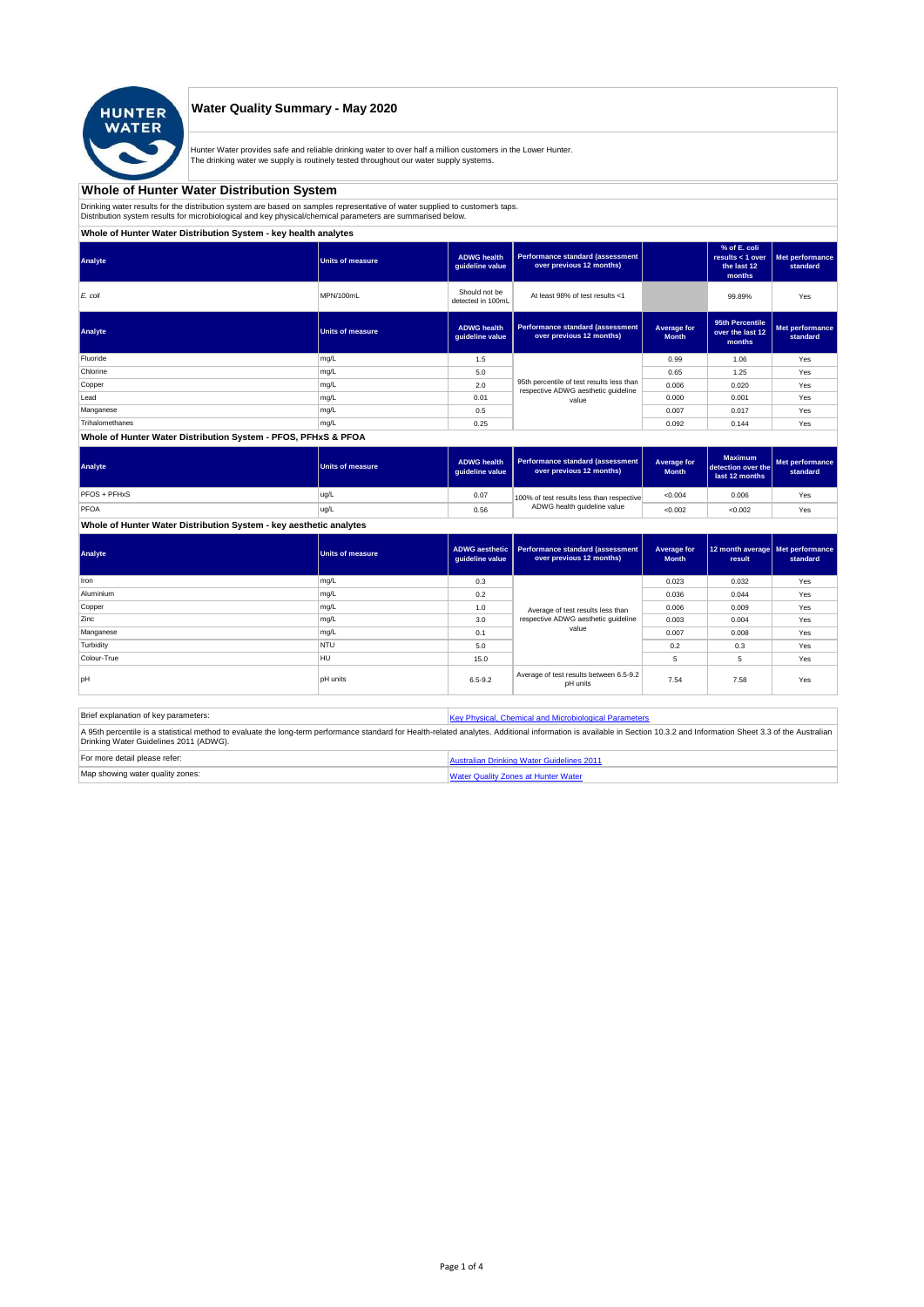

## **Water Quality Summary - May 2020**

Hunter Water provides safe and reliable drinking water to over half a million customers in the Lower Hunter. The drinking water we supply is routinely tested throughout our water supply systems.

# **Whole of Hunter Water Distribution System**

Drinking water results for the distribution system are based on samples representative of water supplied to customer' taps.<br>Distribution system results for microbiological and key physical/chemical parameters are summarise

**Whole of Hunter Water Distribution System - key health analytes**

| Analyte         | <b>Units of measure</b> | <b>ADWG</b> health<br>guideline value | Performance standard (assessment<br>over previous 12 months)                     |                             | % of E. coli<br>results $<$ 1 over<br>the last 12<br>months | Met performance<br>standard |
|-----------------|-------------------------|---------------------------------------|----------------------------------------------------------------------------------|-----------------------------|-------------------------------------------------------------|-----------------------------|
| E. coli         | MPN/100mL               | Should not be<br>detected in 100mL    | At least 98% of test results <1                                                  |                             | 99.89%                                                      | Yes                         |
| Analyte         | <b>Units of measure</b> | <b>ADWG</b> health<br>guideline value | <b>Performance standard (assessment</b><br>over previous 12 months)              | Average for<br><b>Month</b> | 95th Percentile<br>over the last 12<br>months               | Met performance<br>standard |
| Fluoride        | mg/L                    | 1.5                                   |                                                                                  | 0.99                        | 1.06                                                        | Yes                         |
| Chlorine        | mg/L                    | 5.0                                   |                                                                                  | 0.65                        | 1.25                                                        | Yes                         |
| Copper          | mg/L                    | 2.0                                   | 95th percentile of test results less than<br>respective ADWG aesthetic guideline | 0.006                       | 0.020                                                       | Yes                         |
| Lead            | mg/L                    | 0.01                                  | value                                                                            | 0.000                       | 0.001                                                       | Yes                         |
| Manganese       | mg/L                    | 0.5                                   |                                                                                  | 0.007                       | 0.017                                                       | Yes                         |
| Trihalomethanes | mg/L                    | 0.25                                  |                                                                                  | 0.092                       | 0.144                                                       | Yes                         |
|                 |                         |                                       |                                                                                  |                             |                                                             |                             |

#### **Whole of Hunter Water Distribution System - PFOS, PFHxS & PFOA**

| Analyte      | Units of measure | <b>ADWG health</b><br>quideline value | Performance standard (assessment<br>over previous 12 months) | Average for<br><b>Month</b> | <b>Maximum</b><br>detection over the<br>last 12 months | Met performance<br>standard |
|--------------|------------------|---------------------------------------|--------------------------------------------------------------|-----------------------------|--------------------------------------------------------|-----------------------------|
| PFOS + PFHxS | ug/L             | 0.07                                  | 100% of test results less than respective                    | < 0.004                     | 0.006                                                  | Yes                         |
| PFOA         | ug/L             | 0.56                                  | ADWG health guideline value                                  | < 0.002                     | < 0.002                                                | Yes                         |

## **Whole of Hunter Water Distribution System - key aesthetic analytes**

| Analyte     | Units of measure | guideline value | ADWG aesthetic   Performance standard (assessment<br>over previous 12 months) | Average for<br><b>Month</b> | 12 month average   Met performance<br>result | standard |
|-------------|------------------|-----------------|-------------------------------------------------------------------------------|-----------------------------|----------------------------------------------|----------|
| Iron        | mg/L             | 0.3             |                                                                               | 0.023                       | 0.032                                        | Yes      |
| Aluminium   | mg/L             | 0.2             |                                                                               | 0.036                       | 0.044                                        | Yes      |
| Copper      | mg/L             | 1.0             | Average of test results less than                                             | 0.006                       | 0.009                                        | Yes      |
| Zinc        | mg/L             | 3.0             | respective ADWG aesthetic quideline                                           | 0.003                       | 0.004                                        | Yes      |
| Manganese   | mg/L             | 0.1             | value                                                                         | 0.007                       | 0.008                                        | Yes      |
| Turbidity   | <b>NTU</b>       | 5.0             |                                                                               | 0.2                         | 0.3                                          | Yes      |
| Colour-True | <b>HU</b>        | 15.0            |                                                                               | 5                           | 5                                            | Yes      |
| loH         | <b>pH</b> units  | $6.5 - 9.2$     | Average of test results between 6.5-9.2<br>pH units                           | 7.54                        | 7.58                                         | Yes      |

| Brief explanation of key parameters:   | Key Physical, Chemical and Microbiological Parameters                                                                                                                                                                   |
|----------------------------------------|-------------------------------------------------------------------------------------------------------------------------------------------------------------------------------------------------------------------------|
| Drinking Water Guidelines 2011 (ADWG). | A 95th percentile is a statistical method to evaluate the long-term performance standard for Health-related analytes. Additional information is available in Section 10.3.2 and Information Sheet 3.3 of the Australian |
| For more detail please refer:          | Australian Drinking Water Guidelines 2011                                                                                                                                                                               |
| Map showing water quality zones:       | <b>Water Quality Zones at Hunter Water</b>                                                                                                                                                                              |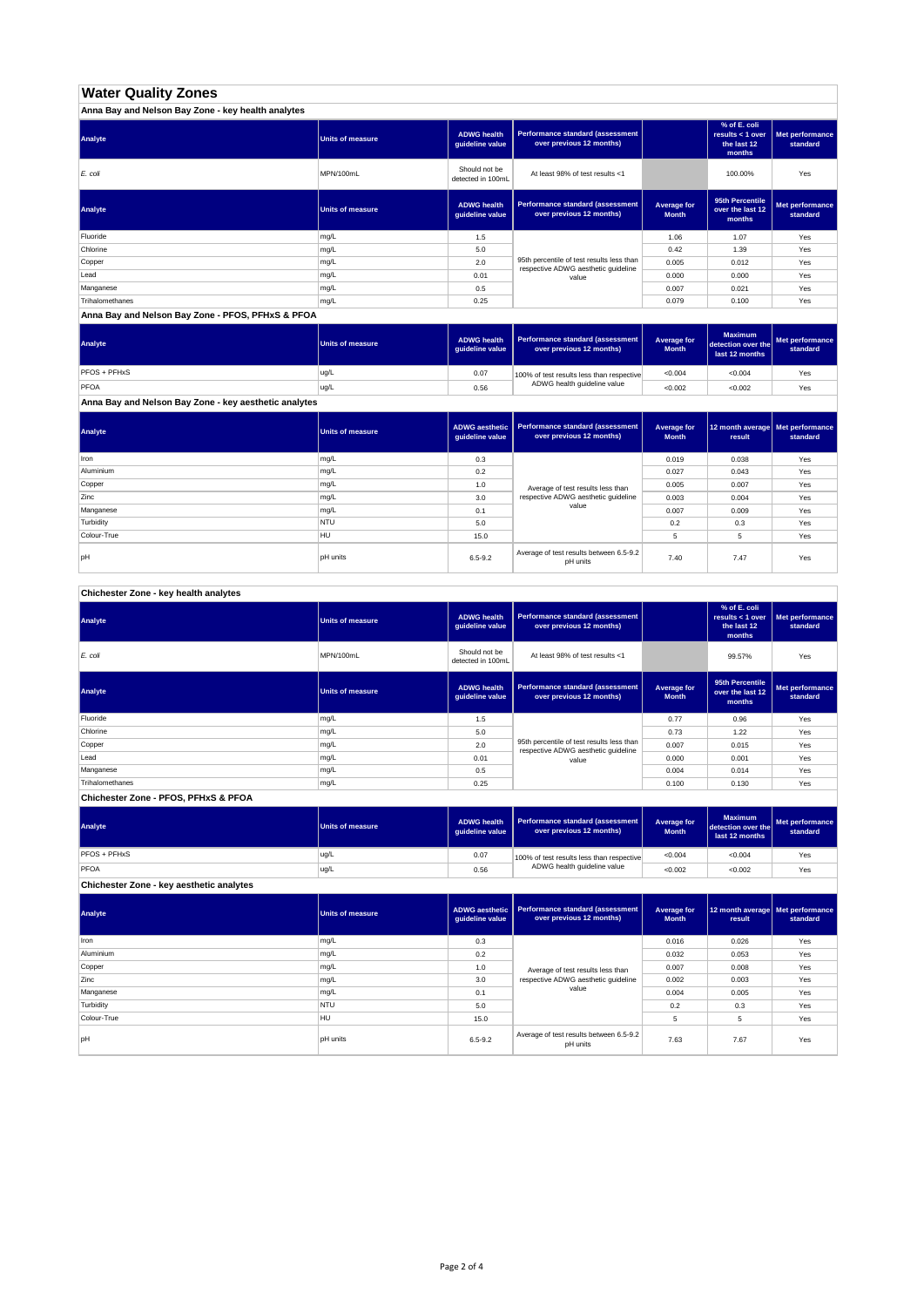# **Water Quality Zones**

| Anna Bay and Nelson Bay Zone - key health analytes |                         |                                       |                                                                                  |                             |                                                           |                             |
|----------------------------------------------------|-------------------------|---------------------------------------|----------------------------------------------------------------------------------|-----------------------------|-----------------------------------------------------------|-----------------------------|
| Analyte                                            | <b>Units of measure</b> | <b>ADWG health</b><br>guideline value | Performance standard (assessment<br>over previous 12 months)                     |                             | % of E. coli<br>results < 1 over<br>the last 12<br>months | Met performance<br>standard |
| E. coli                                            | MPN/100mL               | Should not be<br>detected in 100mL    | At least 98% of test results <1                                                  |                             | 100.00%                                                   | Yes                         |
| Analyte                                            | <b>Units of measure</b> | <b>ADWG health</b><br>guideline value | Performance standard (assessment<br>over previous 12 months)                     | Average for<br><b>Month</b> | 95th Percentile<br>over the last 12<br>months             | Met performance<br>standard |
| Fluoride                                           | mg/L                    | 1.5                                   |                                                                                  | 1.06                        | 1.07                                                      | Yes                         |
| Chlorine                                           | mg/L                    | 5.0                                   |                                                                                  | 0.42                        | 1.39                                                      | Yes                         |
| Copper                                             | mg/L                    | 2.0                                   | 95th percentile of test results less than<br>respective ADWG aesthetic quideline | 0.005                       | 0.012                                                     | Yes                         |
| Lead                                               | mg/L                    | 0.01                                  | value                                                                            | 0.000                       | 0.000                                                     | Yes                         |
| Manganese                                          | mg/L                    | 0.5                                   |                                                                                  | 0.007                       | 0.021                                                     | Yes                         |
| Trihalomethanes                                    | mg/L                    | 0.25                                  |                                                                                  | 0.079                       | 0.100                                                     | Yes                         |

**Anna Bay and Nelson Bay Zone - PFOS, PFHxS & PFOA**

| Analyte      | Units of measure | <b>ADWG health</b><br>quideline value | Performance standard (assessment<br>over previous 12 months) | <b>Average for</b><br><b>Month</b> | <b>Maximum</b><br>detection over the<br>last 12 months | Met performance<br>standard |
|--------------|------------------|---------------------------------------|--------------------------------------------------------------|------------------------------------|--------------------------------------------------------|-----------------------------|
| PFOS + PFHxS | ug/L             | 0.07                                  | 100% of test results less than respective                    | < 0.004                            | < 0.004                                                | Yes                         |
| PFOA         | ug/L             | 0.56                                  | ADWG health guideline value                                  | < 0.002                            | < 0.002                                                | Yes                         |

**Anna Bay and Nelson Bay Zone - key aesthetic analytes**

| Analyte     | Units of measure | ADWG aesthetic  <br>guideline value | Performance standard (assessment<br>over previous 12 months) | Average for<br><b>Month</b> | 12 month average   Met performance<br>result | standard |
|-------------|------------------|-------------------------------------|--------------------------------------------------------------|-----------------------------|----------------------------------------------|----------|
| Iron        | mg/L             | 0.3                                 |                                                              | 0.019                       | 0.038                                        | Yes      |
| Aluminium   | mg/L             | 0.2                                 |                                                              | 0.027                       | 0.043                                        | Yes      |
| Copper      | mg/L             | 1.0                                 | Average of test results less than                            | 0.005                       | 0.007                                        | Yes      |
| Zinc        | mg/L             | 3.0                                 | respective ADWG aesthetic quideline                          | 0.003                       | 0.004                                        | Yes      |
| Manganese   | mg/L             | 0.1                                 | value                                                        | 0.007                       | 0.009                                        | Yes      |
| Turbidity   | <b>NTU</b>       | 5.0                                 |                                                              | 0.2                         | 0.3                                          | Yes      |
| Colour-True | HU               | 15.0                                |                                                              |                             | 5                                            | Yes      |
| pH          | <b>pH</b> units  | $6.5 - 9.2$                         | Average of test results between 6.5-9.2<br>pH units          | 7.40                        | 7.47                                         | Yes      |

**Chichester Zone - key health analytes**

| Analyte         | <b>Units of measure</b> | <b>ADWG health</b><br>guideline value | Performance standard (assessment<br>over previous 12 months)                     |                             | % of E. coli<br>results $<$ 1 over<br>the last 12<br>months | Met performance<br>standard |
|-----------------|-------------------------|---------------------------------------|----------------------------------------------------------------------------------|-----------------------------|-------------------------------------------------------------|-----------------------------|
| E. coli         | MPN/100mL               | Should not be<br>detected in 100mL    | At least 98% of test results <1                                                  |                             | 99.57%                                                      | Yes                         |
| Analyte         | <b>Units of measure</b> | <b>ADWG health</b><br>guideline value | Performance standard (assessment<br>over previous 12 months)                     | Average for<br><b>Month</b> | 95th Percentile<br>over the last 12<br>months               | Met performance<br>standard |
| Fluoride        | mg/L                    | 1.5                                   |                                                                                  | 0.77                        | 0.96                                                        | Yes                         |
| Chlorine        | mg/L                    | 5.0                                   |                                                                                  | 0.73                        | 1.22                                                        | Yes                         |
| Copper          | mg/L                    | 2.0                                   | 95th percentile of test results less than<br>respective ADWG aesthetic quideline | 0.007                       | 0.015                                                       | Yes                         |
| Lead            | mg/L                    | 0.01                                  | value                                                                            | 0.000                       | 0.001                                                       | Yes                         |
| Manganese       | mg/L                    | 0.5                                   |                                                                                  | 0.004                       | 0.014                                                       | Yes                         |
| Trihalomethanes | mg/L                    | 0.25                                  |                                                                                  | 0.100                       | 0.130                                                       | Yes                         |

**Chichester Zone - PFOS, PFHxS & PFOA**

| Analyte                                  | Units of measure | <b>ADWG health</b><br>guideline value | <b>Performance standard (assessment</b><br>over previous 12 months) | Average for<br><b>Month</b> | <b>Maximum</b><br>detection over the<br>last 12 months | Met performance<br>standard |
|------------------------------------------|------------------|---------------------------------------|---------------------------------------------------------------------|-----------------------------|--------------------------------------------------------|-----------------------------|
| PFOS + PFHxS                             | ug/L             | 0.07                                  | 100% of test results less than respective                           | < 0.004                     | < 0.004                                                | Yes                         |
| PFOA                                     | ug/L             | 0.56                                  | ADWG health guideline value                                         | < 0.002                     | < 0.002                                                | Yes                         |
| Chichester Zone - key aesthetic analytes |                  |                                       |                                                                     |                             |                                                        |                             |

| Analyte     | <b>Units of measure</b> | ADWG aesthetic<br>guideline value | <b>Performance standard (assessment</b><br>over previous 12 months) | Average for<br><b>Month</b> | 12 month average   Met performance<br>result | standard |
|-------------|-------------------------|-----------------------------------|---------------------------------------------------------------------|-----------------------------|----------------------------------------------|----------|
| Iron        | mg/L                    | 0.3                               |                                                                     | 0.016                       | 0.026                                        | Yes      |
| Aluminium   | mg/L                    | 0.2                               |                                                                     | 0.032                       | 0.053                                        | Yes      |
| Copper      | mg/L                    | 1.0                               | Average of test results less than                                   | 0.007                       | 0.008                                        | Yes      |
| Zinc        | mg/L                    | 3.0                               | respective ADWG aesthetic quideline                                 | 0.002                       | 0.003                                        | Yes      |
| Manganese   | mg/L                    | 0.1                               | value                                                               | 0.004                       | 0.005                                        | Yes      |
| Turbidity   | <b>NTU</b>              | 5.0                               |                                                                     | 0.2                         | 0.3                                          | Yes      |
| Colour-True | <b>HU</b>               | 15.0                              |                                                                     | 5                           | 5                                            | Yes      |
| pH          | pH units                | $6.5 - 9.2$                       | Average of test results between 6.5-9.2<br>pH units                 | 7.63                        | 7.67                                         | Yes      |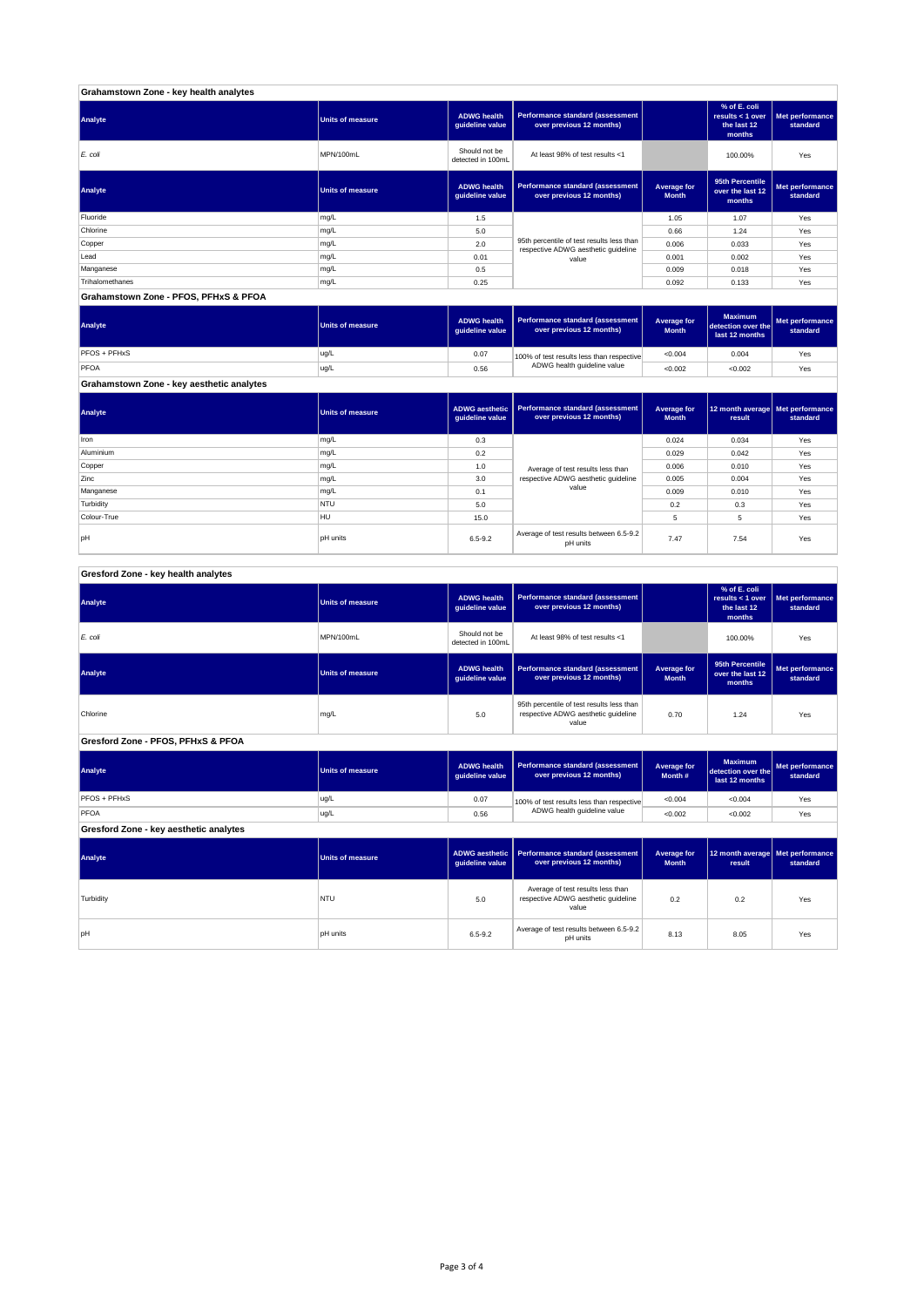| Grahamstown Zone - key health analytes |                         |                                       |                                                                                  |                             |                                                           |                             |
|----------------------------------------|-------------------------|---------------------------------------|----------------------------------------------------------------------------------|-----------------------------|-----------------------------------------------------------|-----------------------------|
| Analyte                                | <b>Units of measure</b> | <b>ADWG health</b><br>guideline value | Performance standard (assessment<br>over previous 12 months)                     |                             | % of E. coli<br>results < 1 over<br>the last 12<br>months | Met performance<br>standard |
| E. coli                                | MPN/100mL               | Should not be<br>detected in 100mL    | At least 98% of test results <1                                                  |                             | 100.00%                                                   | Yes                         |
| Analyte                                | <b>Units of measure</b> | <b>ADWG health</b><br>guideline value | Performance standard (assessment<br>over previous 12 months)                     | Average for<br><b>Month</b> | 95th Percentile<br>over the last 12<br>months             | Met performance<br>standard |
| Fluoride                               | mg/L                    | 1.5                                   |                                                                                  | 1.05                        | 1.07                                                      | Yes                         |
| Chlorine                               | mg/L                    | 5.0                                   |                                                                                  | 0.66                        | 1.24                                                      | Yes                         |
| Copper                                 | mg/L                    | 2.0                                   | 95th percentile of test results less than<br>respective ADWG aesthetic quideline | 0.006                       | 0.033                                                     | Yes                         |
| Lead                                   | mg/L                    | 0.01                                  | value                                                                            | 0.001                       | 0.002                                                     | Yes                         |
| Manganese                              | mg/L                    | 0.5                                   |                                                                                  | 0.009                       | 0.018                                                     | Yes                         |
| Trihalomethanes                        | mg/L                    | 0.25                                  |                                                                                  | 0.092                       | 0.133                                                     | Yes                         |
| Grahamstown Zone - PFOS, PFHxS & PFOA  |                         |                                       |                                                                                  |                             |                                                           |                             |

| Analyte                                   | <b>Units of measure</b> | <b>ADWG health</b><br>auideline value | <b>Performance standard (assessment</b><br>over previous 12 months) | Average for<br><b>Month</b> | <b>Maximum</b><br>detection over the<br>last 12 months | Met performance,<br>standard |
|-------------------------------------------|-------------------------|---------------------------------------|---------------------------------------------------------------------|-----------------------------|--------------------------------------------------------|------------------------------|
| <b>PFOS + PFHxS</b>                       | ug/L                    | 0.07                                  | 100% of test results less than respective                           | < 0.004                     | 0.004                                                  | Yes                          |
| PFOA                                      | ug/L                    | 0.56                                  | ADWG health guideline value                                         | < 0.002                     | < 0.002                                                | Yes                          |
| Grahamstown Zone - key aesthetic analytes |                         |                                       |                                                                     |                             |                                                        |                              |

┓

ℸ

┱

| Analyte     | Units of measure | guideline value                            | ADWG aesthetic   Performance standard (assessment<br>over previous 12 months) | Average for<br><b>Month</b> | 12 month average   Met performance<br>result | standard |
|-------------|------------------|--------------------------------------------|-------------------------------------------------------------------------------|-----------------------------|----------------------------------------------|----------|
| Iron        | mg/L             | 0.3                                        |                                                                               | 0.024                       | 0.034                                        | Yes      |
| Aluminium   | mg/L             | 0.2                                        |                                                                               | 0.029                       | 0.042                                        | Yes      |
| Copper      | mg/L             | 1.0                                        | Average of test results less than                                             | 0.006                       | 0.010                                        | Yes      |
| Zinc        | mg/L             | respective ADWG aesthetic quideline<br>3.0 |                                                                               | 0.005                       | 0.004                                        | Yes      |
| Manganese   | mg/L             | 0.1                                        | value                                                                         | 0.009                       | 0.010                                        | Yes      |
| Turbidity   | <b>NTU</b>       | 5.0                                        |                                                                               | 0.2                         | 0.3                                          | Yes      |
| Colour-True | HU               | 15.0                                       |                                                                               | 5                           | 5                                            | Yes      |
| pH          | <b>pH</b> units  | $6.5 - 9.2$                                | Average of test results between 6.5-9.2<br>pH units                           | 7.47                        | 7.54                                         | Yes      |

### **Gresford Zone - key health analytes**

| Analyte                                | <b>Units of measure</b> | <b>ADWG health</b><br>guideline value                                                                 | Performance standard (assessment<br>over previous 12 months)                      |                                    | % of E. coli<br>results < $1$ over<br>the last 12<br>months | Met performance<br>standard |
|----------------------------------------|-------------------------|-------------------------------------------------------------------------------------------------------|-----------------------------------------------------------------------------------|------------------------------------|-------------------------------------------------------------|-----------------------------|
| $E$ . coli                             | MPN/100mL               | Should not be<br>detected in 100mL                                                                    | At least 98% of test results <1                                                   |                                    | 100.00%                                                     | Yes                         |
| Analyte                                | <b>Units of measure</b> | <b>ADWG health</b><br>guideline value                                                                 | Performance standard (assessment<br>over previous 12 months)                      | <b>Average for</b><br><b>Month</b> | 95th Percentile<br>over the last 12<br>months               | Met performance<br>standard |
| Chlorine                               | mg/L                    | 95th percentile of test results less than<br>respective ADWG aesthetic guideline<br>5.0<br>value      |                                                                                   | 0.70                               | 1.24                                                        | Yes                         |
| Gresford Zone - PFOS, PFHxS & PFOA     |                         |                                                                                                       |                                                                                   |                                    |                                                             |                             |
| Analyte                                | <b>Units of measure</b> | Performance standard (assessment<br><b>ADWG</b> health<br>over previous 12 months)<br>guideline value |                                                                                   | <b>Average for</b><br>Month #      | <b>Maximum</b><br>detection over the<br>last 12 months      | Met performance<br>standard |
| PFOS + PFHxS                           | ug/L                    | 0.07                                                                                                  | 100% of test results less than respective                                         | < 0.004                            | < 0.004                                                     | Yes                         |
| PFOA                                   | ug/L                    | 0.56                                                                                                  | ADWG health guideline value                                                       | < 0.002                            | < 0.002                                                     | Yes                         |
| Gresford Zone - key aesthetic analytes |                         |                                                                                                       |                                                                                   |                                    |                                                             |                             |
| Analyte                                | <b>Units of measure</b> | <b>ADWG</b> aesthetic<br>guideline value                                                              | Performance standard (assessment<br>over previous 12 months)                      |                                    | 12 month average<br>result                                  | Met performance<br>standard |
| Turbidity                              | <b>NTU</b>              | 5.0                                                                                                   | Average of test results less than<br>respective ADWG aesthetic quideline<br>value | 0.2                                | 0.2                                                         | Yes                         |
| pH                                     | <b>pH</b> units         | Average of test results between 6.5-9.2<br>$6.5 - 9.2$<br>pH units                                    |                                                                                   | 8.13                               | 8.05                                                        | Yes                         |